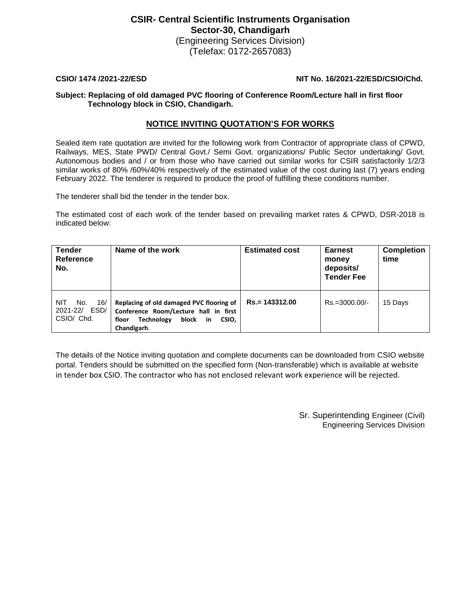# **CSIR- Central Scientific Instruments Organisation Sector-30, Chandigarh**

(Engineering Services Division) (Telefax: 0172-2657083)

## **CSIO/ 1474 /2021-22/ESD NIT No. 16/2021-22/ESD/CSIO/Chd.**

### **Subject: Replacing of old damaged PVC flooring of Conference Room/Lecture hall in first floor Technology block in CSIO, Chandigarh.**

# **NOTICE INVITING QUOTATION'S FOR WORKS**

Sealed item rate quotation are invited for the following work from Contractor of appropriate class of CPWD, Railways, MES, State PWD/ Central Govt./ Semi Govt. organizations/ Public Sector undertaking/ Govt. Autonomous bodies and / or from those who have carried out similar works for CSIR satisfactorily 1/2/3 similar works of 80% /60%/40% respectively of the estimated value of the cost during last (7) years ending February 2022. The tenderer is required to produce the proof of fulfilling these conditions number.

The tenderer shall bid the tender in the tender box.

The estimated cost of each work of the tender based on prevailing market rates & CPWD, DSR-2018 is indicated below:

| <b>Tender</b><br>Reference<br>No.                | Name of the work                                                                                                                                        | <b>Estimated cost</b> | <b>Earnest</b><br>money<br>deposits/<br><b>Tender Fee</b> | <b>Completion</b><br>time |
|--------------------------------------------------|---------------------------------------------------------------------------------------------------------------------------------------------------------|-----------------------|-----------------------------------------------------------|---------------------------|
| No.<br>16/<br>NIT<br>2021-22/ ESD/<br>CSIO/ Chd. | Replacing of old damaged PVC flooring of<br>Conference Room/Lecture hall in first<br><b>Technology</b><br>block<br>CSIO.<br>floor<br>-in<br>Chandigarh. | $Rs = 143312.00$      | Rs.=3000.00/-                                             | 15 Days                   |

The details of the Notice inviting quotation and complete documents can be downloaded from CSIO website portal. Tenders should be submitted on the specified form (Non-transferable) which is available at website in tender box CSIO. The contractor who has not enclosed relevant work experience will be rejected.

> Sr. Superintending Engineer (Civil) Engineering Services Division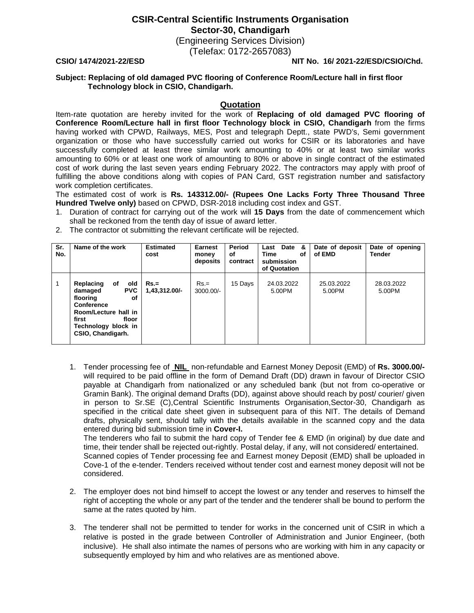**CSIR-Central Scientific Instruments Organisation Sector-30, Chandigarh**

> (Engineering Services Division) (Telefax: 0172-2657083)

#### **CSIO/ 1474/2021-22/ESD NIT No. 16/ 2021-22/ESD/CSIO/Chd.**

#### **Subject: Replacing of old damaged PVC flooring of Conference Room/Lecture hall in first floor Technology block in CSIO, Chandigarh.**

#### **Quotation**

Item-rate quotation are hereby invited for the work of **Replacing of old damaged PVC flooring of Conference Room/Lecture hall in first floor Technology block in CSIO, Chandigarh** from the firms having worked with CPWD, Railways, MES, Post and telegraph Deptt., state PWD's, Semi government organization or those who have successfully carried out works for CSIR or its laboratories and have successfully completed at least three similar work amounting to 40% or at least two similar works amounting to 60% or at least one work of amounting to 80% or above in single contract of the estimated cost of work during the last seven years ending February 2022. The contractors may apply with proof of fulfilling the above conditions along with copies of PAN Card, GST registration number and satisfactory work completion certificates.

The estimated cost of work is **Rs. 143312.00/- (Rupees One Lacks Forty Three Thousand Three Hundred Twelve only)** based on CPWD, DSR-2018 including cost index and GST.

- 1. Duration of contract for carrying out of the work will **15 Days** from the date of commencement which shall be reckoned from the tenth day of issue of award letter.
- 2. The contractor ot submitting the relevant certificate will be rejected.

| Sr.<br>No. | Name of the work                                                                                                                                                      | <b>Estimated</b><br>cost | Earnest<br>money<br>deposits | Period<br>οf<br>contract | Last Date &<br>Time<br>οf<br>submission<br>of Quotation | Date of deposit<br>of EMD | Date of opening<br><b>Tender</b> |
|------------|-----------------------------------------------------------------------------------------------------------------------------------------------------------------------|--------------------------|------------------------------|--------------------------|---------------------------------------------------------|---------------------------|----------------------------------|
|            | Replacing<br>old<br>οf<br><b>PVC</b><br>damaged<br>flooring<br>οf<br>Conference<br>Room/Lecture hall in<br>first<br>floor<br>Technology block in<br>CSIO, Chandigarh. | $Rs =$<br>1,43,312.00/-  | $Rs =$<br>$3000.00/-$        | 15 Days                  | 24.03.2022<br>5.00PM                                    | 25.03.2022<br>5.00PM      | 28.03.2022<br>5.00PM             |

1. Tender processing fee of **NIL** non-refundable and Earnest Money Deposit (EMD) of **Rs. 3000.00/** will required to be paid offline in the form of Demand Draft (DD) drawn in favour of Director CSIO payable at Chandigarh from nationalized or any scheduled bank (but not from co-operative or Gramin Bank). The original demand Drafts (DD), against above should reach by post/ courier/ given in person to Sr.SE (C),Central Scientific Instruments Organisation,Sector-30, Chandigarh as specified in the critical date sheet given in subsequent para of this NIT. The details of Demand drafts, physically sent, should tally with the details available in the scanned copy and the data entered during bid submission time in **Cover-I.**

The tenderers who fail to submit the hard copy of Tender fee & EMD (in original) by due date and time, their tender shall be rejected out-rightly. Postal delay, if any, will not considered/ entertained. Scanned copies of Tender processing fee and Earnest money Deposit (EMD) shall be uploaded in Cove-1 of the e-tender. Tenders received without tender cost and earnest money deposit will not be considered.

- 2. The employer does not bind himself to accept the lowest or any tender and reserves to himself the right of accepting the whole or any part of the tender and the tenderer shall be bound to perform the same at the rates quoted by him.
- 3. The tenderer shall not be permitted to tender for works in the concerned unit of CSIR in which a relative is posted in the grade between Controller of Administration and Junior Engineer, (both inclusive). He shall also intimate the names of persons who are working with him in any capacity or subsequently employed by him and who relatives are as mentioned above.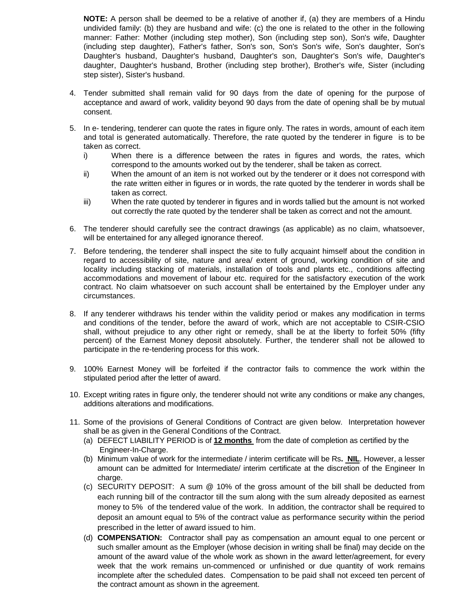**NOTE:** A person shall be deemed to be a relative of another if, (a) they are members of a Hindu undivided family: (b) they are husband and wife: (c) the one is related to the other in the following manner: Father: Mother (including step mother), Son (including step son), Son's wife, Daughter (including step daughter), Father's father, Son's son, Son's Son's wife, Son's daughter, Son's Daughter's husband, Daughter's husband, Daughter's son, Daughter's Son's wife, Daughter's daughter, Daughter's husband, Brother (including step brother), Brother's wife, Sister (including step sister), Sister's husband.

- 4. Tender submitted shall remain valid for 90 days from the date of opening for the purpose of acceptance and award of work, validity beyond 90 days from the date of opening shall be by mutual consent.
- 5. In e- tendering, tenderer can quote the rates in figure only. The rates in words, amount of each item and total is generated automatically. Therefore, the rate quoted by the tenderer in figure is to be taken as correct.
	- i) When there is a difference between the rates in figures and words, the rates, which correspond to the amounts worked out by the tenderer, shall be taken as correct.
	- ii) When the amount of an item is not worked out by the tenderer or it does not correspond with the rate written either in figures or in words, the rate quoted by the tenderer in words shall be taken as correct.
	- iii) When the rate quoted by tenderer in figures and in words tallied but the amount is not worked out correctly the rate quoted by the tenderer shall be taken as correct and not the amount.
- 6. The tenderer should carefully see the contract drawings (as applicable) as no claim, whatsoever, will be entertained for any alleged ignorance thereof.
- 7. Before tendering, the tenderer shall inspect the site to fully acquaint himself about the condition in regard to accessibility of site, nature and area/ extent of ground, working condition of site and locality including stacking of materials, installation of tools and plants etc., conditions affecting accommodations and movement of labour etc. required for the satisfactory execution of the work contract. No claim whatsoever on such account shall be entertained by the Employer under any circumstances.
- 8. If any tenderer withdraws his tender within the validity period or makes any modification in terms and conditions of the tender, before the award of work, which are not acceptable to CSIR-CSIO shall, without prejudice to any other right or remedy, shall be at the liberty to forfeit 50% (fifty percent) of the Earnest Money deposit absolutely. Further, the tenderer shall not be allowed to participate in the re-tendering process for this work.
- 9. 100% Earnest Money will be forfeited if the contractor fails to commence the work within the stipulated period after the letter of award.
- 10. Except writing rates in figure only, the tenderer should not write any conditions or make any changes, additions alterations and modifications.
- 11. Some of the provisions of General Conditions of Contract are given below. Interpretation however shall be as given in the General Conditions of the Contract.
	- (a) DEFECT LIABILITY PERIOD is of **12 months** from the date of completion as certified by the Engineer-In-Charge.
	- (b) Minimum value of work for the intermediate / interim certificate will be Rs**. NIL**. However, a lesser amount can be admitted for Intermediate/ interim certificate at the discretion of the Engineer In charge.
	- (c) SECURITY DEPOSIT: A sum @ 10% of the gross amount of the bill shall be deducted from each running bill of the contractor till the sum along with the sum already deposited as earnest money to 5% of the tendered value of the work. In addition, the contractor shall be required to deposit an amount equal to 5% of the contract value as performance security within the period prescribed in the letter of award issued to him.
	- (d) **COMPENSATION:** Contractor shall pay as compensation an amount equal to one percent or such smaller amount as the Employer (whose decision in writing shall be final) may decide on the amount of the award value of the whole work as shown in the award letter/agreement, for every week that the work remains un-commenced or unfinished or due quantity of work remains incomplete after the scheduled dates. Compensation to be paid shall not exceed ten percent of the contract amount as shown in the agreement.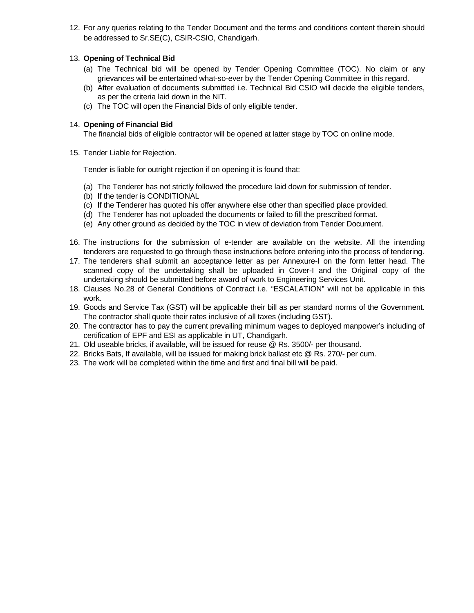12. For any queries relating to the Tender Document and the terms and conditions content therein should be addressed to Sr.SE(C), CSIR-CSIO, Chandigarh.

## 13. **Opening of Technical Bid**

- (a) The Technical bid will be opened by Tender Opening Committee (TOC). No claim or any grievances will be entertained what-so-ever by the Tender Opening Committee in this regard.
- (b) After evaluation of documents submitted i.e. Technical Bid CSIO will decide the eligible tenders, as per the criteria laid down in the NIT.
- (c) The TOC will open the Financial Bids of only eligible tender.

## 14. **Opening of Financial Bid**

The financial bids of eligible contractor will be opened at latter stage by TOC on online mode.

15. Tender Liable for Rejection.

Tender is liable for outright rejection if on opening it is found that:

- (a) The Tenderer has not strictly followed the procedure laid down for submission of tender.
- (b) If the tender is CONDITIONAL
- (c) If the Tenderer has quoted his offer anywhere else other than specified place provided.
- (d) The Tenderer has not uploaded the documents or failed to fill the prescribed format.
- (e) Any other ground as decided by the TOC in view of deviation from Tender Document.
- 16. The instructions for the submission of e-tender are available on the website. All the intending tenderers are requested to go through these instructions before entering into the process of tendering.
- 17. The tenderers shall submit an acceptance letter as per Annexure-I on the form letter head. The scanned copy of the undertaking shall be uploaded in Cover-I and the Original copy of the undertaking should be submitted before award of work to Engineering Services Unit.
- 18. Clauses No.28 of General Conditions of Contract i.e. "ESCALATION" will not be applicable in this work.
- 19. Goods and Service Tax (GST) will be applicable their bill as per standard norms of the Government. The contractor shall quote their rates inclusive of all taxes (including GST).
- 20. The contractor has to pay the current prevailing minimum wages to deployed manpower's including of certification of EPF and ESI as applicable in UT, Chandigarh.
- 21. Old useable bricks, if available, will be issued for reuse @ Rs. 3500/- per thousand.
- 22. Bricks Bats, If available, will be issued for making brick ballast etc @ Rs. 270/- per cum.
- 23. The work will be completed within the time and first and final bill will be paid.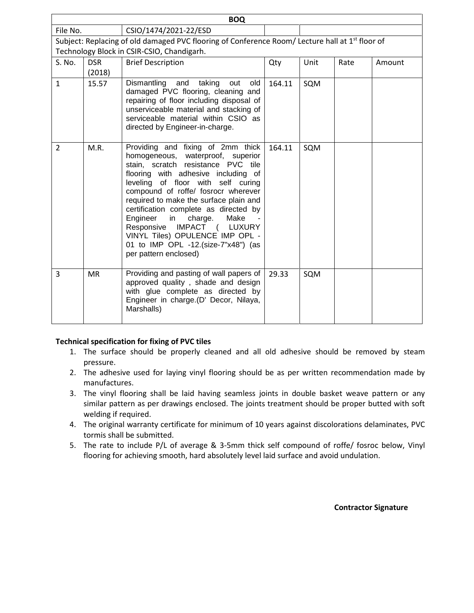| <b>BOQ</b>                                                                                                  |            |                                                                                                                                                                                                                                                                                                                                                                                                                                                                                           |        |      |      |        |  |  |
|-------------------------------------------------------------------------------------------------------------|------------|-------------------------------------------------------------------------------------------------------------------------------------------------------------------------------------------------------------------------------------------------------------------------------------------------------------------------------------------------------------------------------------------------------------------------------------------------------------------------------------------|--------|------|------|--------|--|--|
| File No.                                                                                                    |            | CSIO/1474/2021-22/ESD                                                                                                                                                                                                                                                                                                                                                                                                                                                                     |        |      |      |        |  |  |
| Subject: Replacing of old damaged PVC flooring of Conference Room/ Lecture hall at 1 <sup>st</sup> floor of |            |                                                                                                                                                                                                                                                                                                                                                                                                                                                                                           |        |      |      |        |  |  |
| Technology Block in CSIR-CSIO, Chandigarh.                                                                  |            |                                                                                                                                                                                                                                                                                                                                                                                                                                                                                           |        |      |      |        |  |  |
| S. No.                                                                                                      | <b>DSR</b> | <b>Brief Description</b>                                                                                                                                                                                                                                                                                                                                                                                                                                                                  | Qty    | Unit | Rate | Amount |  |  |
|                                                                                                             | (2018)     |                                                                                                                                                                                                                                                                                                                                                                                                                                                                                           |        |      |      |        |  |  |
| $\mathbf{1}$                                                                                                | 15.57      | Dismantling and<br>taking<br>out<br>old<br>damaged PVC flooring, cleaning and<br>repairing of floor including disposal of<br>unserviceable material and stacking of<br>serviceable material within CSIO as<br>directed by Engineer-in-charge.                                                                                                                                                                                                                                             | 164.11 | SQM  |      |        |  |  |
| $\overline{2}$                                                                                              | M.R.       | Providing and fixing of 2mm thick<br>homogeneous, waterproof, superior<br>stain, scratch resistance PVC tile<br>flooring with adhesive including of<br>leveling of floor with self curing<br>compound of roffe/ fosrocr wherever<br>required to make the surface plain and<br>certification complete as directed by<br>Engineer<br>charge.<br>Make<br>in<br>Responsive IMPACT ( LUXURY<br>VINYL Tiles) OPULENCE IMP OPL -<br>01 to IMP OPL -12.(size-7"x48") (as<br>per pattern enclosed) | 164.11 | SQM  |      |        |  |  |
| 3                                                                                                           | <b>MR</b>  | Providing and pasting of wall papers of<br>approved quality, shade and design<br>with glue complete as directed by<br>Engineer in charge.(D' Decor, Nilaya,<br>Marshalls)                                                                                                                                                                                                                                                                                                                 | 29.33  | SQM  |      |        |  |  |

## **Technical specification for fixing of PVC tiles**

- 1. The surface should be properly cleaned and all old adhesive should be removed by steam pressure.
- 2. The adhesive used for laying vinyl flooring should be as per written recommendation made by manufactures.
- 3. The vinyl flooring shall be laid having seamless joints in double basket weave pattern or any similar pattern as per drawings enclosed. The joints treatment should be proper butted with soft welding if required.
- 4. The original warranty certificate for minimum of 10 years against discolorations delaminates, PVC tormis shall be submitted.
- 5. The rate to include P/L of average & 3-5mm thick self compound of roffe/ fosroc below, Vinyl flooring for achieving smooth, hard absolutely level laid surface and avoid undulation.

**Contractor Signature**